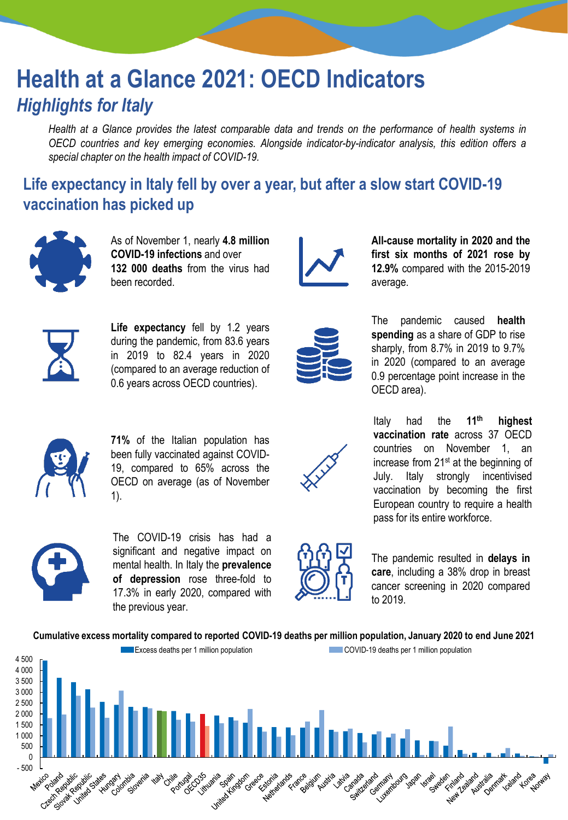# **Health at a Glance 2021: OECD Indicators** *Highlights for Italy*

Health at a Glance provides the latest comparable data and trends on the performance of health systems in *OECD countries and key emerging economies. Alongside indicator-by-indicator analysis, this edition offers a special chapter on the health impact of COVID-19.*

## **Life expectancy in Italy fell by over a year, but after a slow start COVID-19 vaccination has picked up**



As of November 1, nearly **4.8 million COVID-19 infections** and over **132 000 deaths** from the virus had been recorded.



**All-cause mortality in 2020 and the first six months of 2021 rose by 12.9%** compared with the 2015-2019 average.



**Life expectancy** fell by 1.2 years during the pandemic, from 83.6 years in 2019 to 82.4 years in 2020 (compared to an average reduction of 0.6 years across OECD countries).



The pandemic caused **health spending** as a share of GDP to rise sharply, from 8.7% in 2019 to 9.7% in 2020 (compared to an average 0.9 percentage point increase in the OECD area).



**71%** of the Italian population has been fully vaccinated against COVID-19, compared to 65% across the OECD on average (as of November 1).



Italy had the **11th highest vaccination rate** across 37 OECD countries on November 1, an increase from 21<sup>st</sup> at the beginning of July. Italy strongly incentivised vaccination by becoming the first European country to require a health pass for its entire workforce.



The COVID-19 crisis has had a significant and negative impact on mental health. In Italy the **prevalence of depression** rose three-fold to 17.3% in early 2020, compared with the previous year.



The pandemic resulted in **delays in care**, including a 38% drop in breast cancer screening in 2020 compared to 2019.

**Cumulative excess mortality compared to reported COVID-19 deaths per million population, January 2020 to end June 2021**